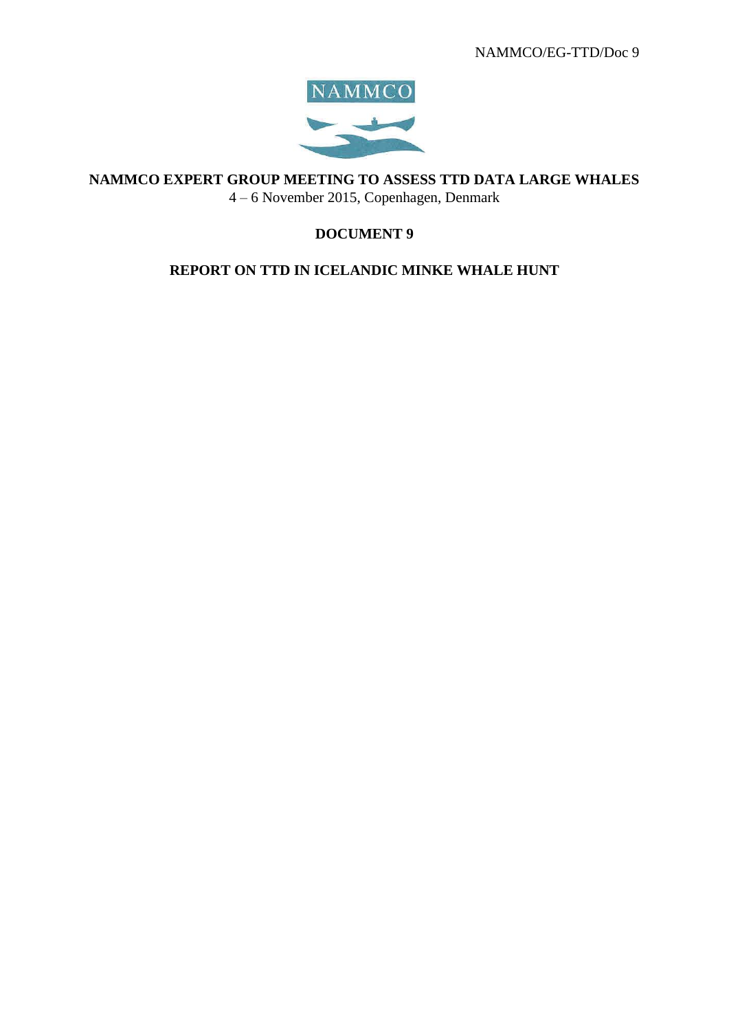

**NAMMCO EXPERT GROUP MEETING TO ASSESS TTD DATA LARGE WHALES**

4 – 6 November 2015, Copenhagen, Denmark

# **DOCUMENT 9**

# **REPORT ON TTD IN ICELANDIC MINKE WHALE HUNT**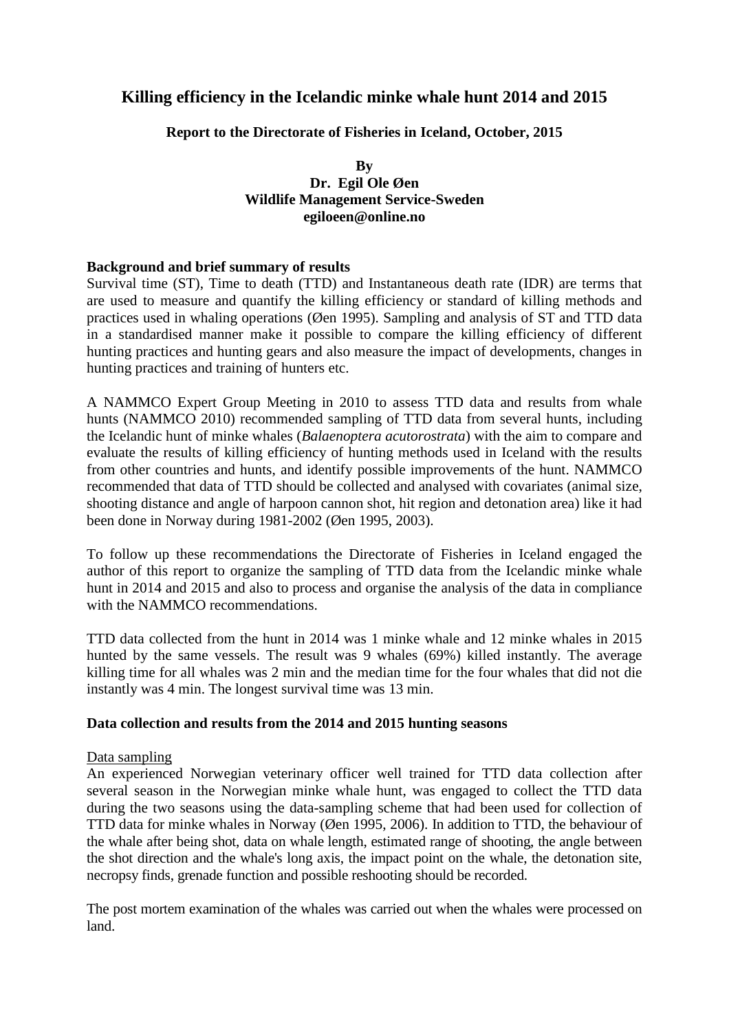# **Killing efficiency in the Icelandic minke whale hunt 2014 and 2015**

## **Report to the Directorate of Fisheries in Iceland, October, 2015**

## **By Dr. Egil Ole Øen Wildlife Management Service-Sweden egiloeen@online.no**

## **Background and brief summary of results**

Survival time (ST), Time to death (TTD) and Instantaneous death rate (IDR) are terms that are used to measure and quantify the killing efficiency or standard of killing methods and practices used in whaling operations (Øen 1995). Sampling and analysis of ST and TTD data in a standardised manner make it possible to compare the killing efficiency of different hunting practices and hunting gears and also measure the impact of developments, changes in hunting practices and training of hunters etc.

A NAMMCO Expert Group Meeting in 2010 to assess TTD data and results from whale hunts (NAMMCO 2010) recommended sampling of TTD data from several hunts, including the Icelandic hunt of minke whales (*Balaenoptera acutorostrata*) with the aim to compare and evaluate the results of killing efficiency of hunting methods used in Iceland with the results from other countries and hunts, and identify possible improvements of the hunt. NAMMCO recommended that data of TTD should be collected and analysed with covariates (animal size, shooting distance and angle of harpoon cannon shot, hit region and detonation area) like it had been done in Norway during 1981-2002 (Øen 1995, 2003).

To follow up these recommendations the Directorate of Fisheries in Iceland engaged the author of this report to organize the sampling of TTD data from the Icelandic minke whale hunt in 2014 and 2015 and also to process and organise the analysis of the data in compliance with the NAMMCO recommendations.

TTD data collected from the hunt in 2014 was 1 minke whale and 12 minke whales in 2015 hunted by the same vessels. The result was 9 whales (69%) killed instantly. The average killing time for all whales was 2 min and the median time for the four whales that did not die instantly was 4 min. The longest survival time was 13 min.

#### **Data collection and results from the 2014 and 2015 hunting seasons**

## Data sampling

An experienced Norwegian veterinary officer well trained for TTD data collection after several season in the Norwegian minke whale hunt, was engaged to collect the TTD data during the two seasons using the data-sampling scheme that had been used for collection of TTD data for minke whales in Norway (Øen 1995, 2006). In addition to TTD, the behaviour of the whale after being shot, data on whale length, estimated range of shooting, the angle between the shot direction and the whale's long axis, the impact point on the whale, the detonation site, necropsy finds, grenade function and possible reshooting should be recorded.

The post mortem examination of the whales was carried out when the whales were processed on land.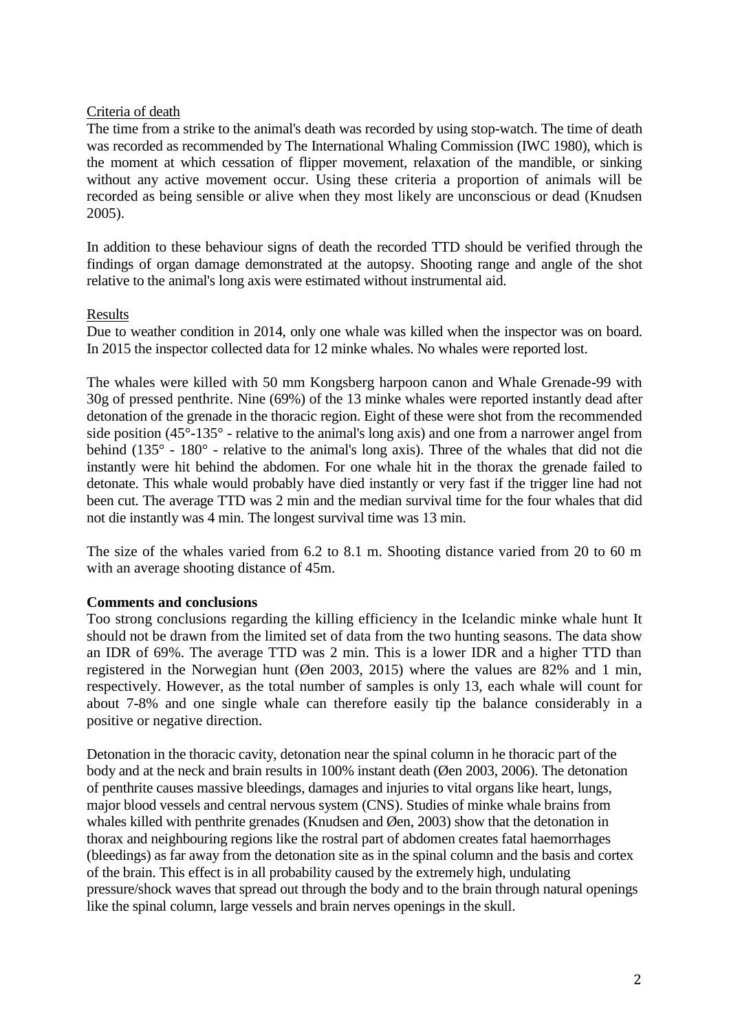## Criteria of death

The time from a strike to the animal's death was recorded by using stop-watch. The time of death was recorded as recommended by The International Whaling Commission (IWC 1980), which is the moment at which cessation of flipper movement, relaxation of the mandible, or sinking without any active movement occur. Using these criteria a proportion of animals will be recorded as being sensible or alive when they most likely are unconscious or dead (Knudsen 2005).

In addition to these behaviour signs of death the recorded TTD should be verified through the findings of organ damage demonstrated at the autopsy. Shooting range and angle of the shot relative to the animal's long axis were estimated without instrumental aid.

## Results

Due to weather condition in 2014, only one whale was killed when the inspector was on board. In 2015 the inspector collected data for 12 minke whales. No whales were reported lost.

The whales were killed with 50 mm Kongsberg harpoon canon and Whale Grenade-99 with 30g of pressed penthrite. Nine (69%) of the 13 minke whales were reported instantly dead after detonation of the grenade in the thoracic region. Eight of these were shot from the recommended side position (45°-135° - relative to the animal's long axis) and one from a narrower angel from behind (135° - 180° - relative to the animal's long axis). Three of the whales that did not die instantly were hit behind the abdomen. For one whale hit in the thorax the grenade failed to detonate. This whale would probably have died instantly or very fast if the trigger line had not been cut. The average TTD was 2 min and the median survival time for the four whales that did not die instantly was 4 min. The longest survival time was 13 min.

The size of the whales varied from 6.2 to 8.1 m. Shooting distance varied from 20 to 60 m with an average shooting distance of 45m.

## **Comments and conclusions**

Too strong conclusions regarding the killing efficiency in the Icelandic minke whale hunt It should not be drawn from the limited set of data from the two hunting seasons. The data show an IDR of 69%. The average TTD was 2 min. This is a lower IDR and a higher TTD than registered in the Norwegian hunt (Øen 2003, 2015) where the values are 82% and 1 min, respectively. However, as the total number of samples is only 13, each whale will count for about 7-8% and one single whale can therefore easily tip the balance considerably in a positive or negative direction.

Detonation in the thoracic cavity, detonation near the spinal column in he thoracic part of the body and at the neck and brain results in 100% instant death (Øen 2003, 2006). The detonation of penthrite causes massive bleedings, damages and injuries to vital organs like heart, lungs, major blood vessels and central nervous system (CNS). Studies of minke whale brains from whales killed with penthrite grenades (Knudsen and Øen, 2003) show that the detonation in thorax and neighbouring regions like the rostral part of abdomen creates fatal haemorrhages (bleedings) as far away from the detonation site as in the spinal column and the basis and cortex of the brain. This effect is in all probability caused by the extremely high, undulating pressure/shock waves that spread out through the body and to the brain through natural openings like the spinal column, large vessels and brain nerves openings in the skull.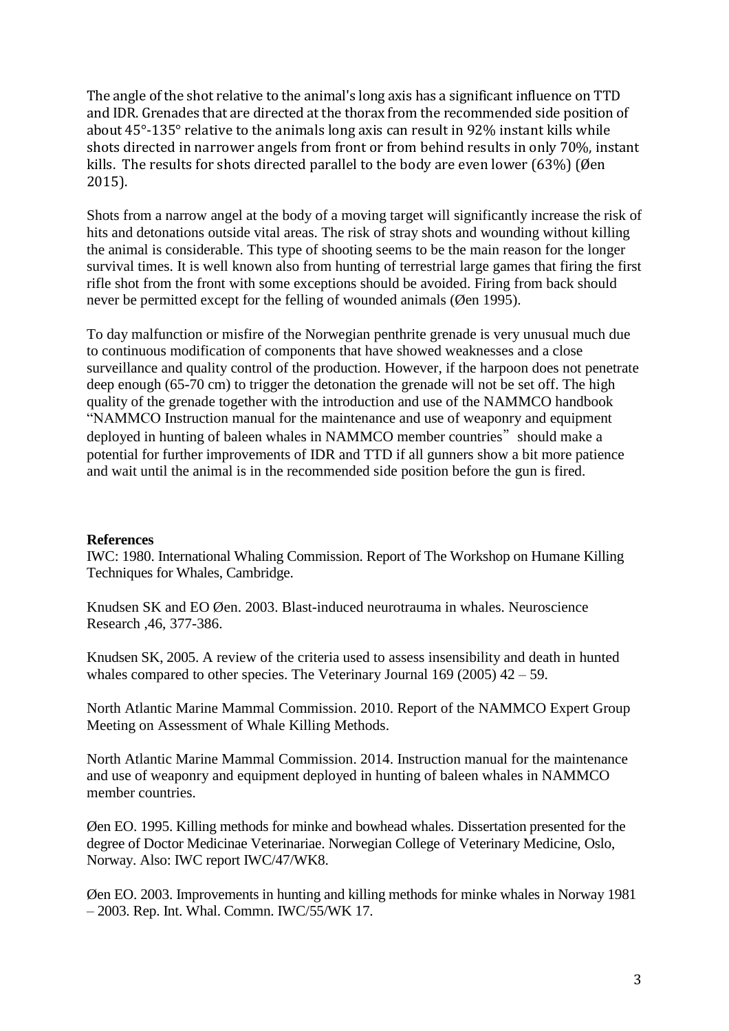The angle of the shot relative to the animal's long axis has a significant influence on TTD and IDR. Grenades that are directed at the thorax from the recommended side position of about 45°-135° relative to the animals long axis can result in 92% instant kills while shots directed in narrower angels from front or from behind results in only 70%, instant kills. The results for shots directed parallel to the body are even lower (63%) (Øen 2015).

Shots from a narrow angel at the body of a moving target will significantly increase the risk of hits and detonations outside vital areas. The risk of stray shots and wounding without killing the animal is considerable. This type of shooting seems to be the main reason for the longer survival times. It is well known also from hunting of terrestrial large games that firing the first rifle shot from the front with some exceptions should be avoided. Firing from back should never be permitted except for the felling of wounded animals (Øen 1995).

To day malfunction or misfire of the Norwegian penthrite grenade is very unusual much due to continuous modification of components that have showed weaknesses and a close surveillance and quality control of the production. However, if the harpoon does not penetrate deep enough (65-70 cm) to trigger the detonation the grenade will not be set off. The high quality of the grenade together with the introduction and use of the NAMMCO handbook "NAMMCO Instruction manual for the maintenance and use of weaponry and equipment deployed in hunting of baleen whales in NAMMCO member countries" should make a potential for further improvements of IDR and TTD if all gunners show a bit more patience and wait until the animal is in the recommended side position before the gun is fired.

## **References**

IWC: 1980. International Whaling Commission. Report of The Workshop on Humane Killing Techniques for Whales, Cambridge.

Knudsen SK and EO Øen. 2003. Blast-induced neurotrauma in whales. Neuroscience Research ,46, 377-386.

Knudsen SK, 2005. A review of the criteria used to assess insensibility and death in hunted whales compared to other species. The Veterinary Journal  $169$  (2005)  $42 - 59$ .

North Atlantic Marine Mammal Commission. 2010. Report of the NAMMCO Expert Group Meeting on Assessment of Whale Killing Methods.

North Atlantic Marine Mammal Commission. 2014. Instruction manual for the maintenance and use of weaponry and equipment deployed in hunting of baleen whales in NAMMCO member countries.

Øen EO. 1995. Killing methods for minke and bowhead whales. Dissertation presented for the degree of Doctor Medicinae Veterinariae. Norwegian College of Veterinary Medicine, Oslo, Norway. Also: IWC report IWC/47/WK8.

Øen EO. 2003. Improvements in hunting and killing methods for minke whales in Norway 1981 – 2003. Rep. Int. Whal. Commn. IWC/55/WK 17.